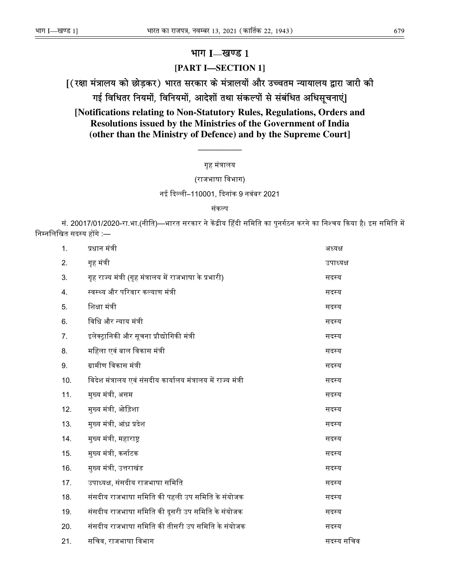# $H$ **III**  $I$ —खण्ड 1

## **[PART I—SECTION 1]**

 $[$  (रक्षा मंत्रालय को छोड़कर) भारत सरकार के मंत्रालयों और उच्चतम न्यायालय द्वारा जारी की

गई विधितर नियमों, विनियमों, आदेशों तथा संकल्पों से संबंधित अधिसूचनाएं]

**[Notifications relating to Non-Statutory Rules, Regulations, Orders and Resolutions issued by the Ministries of the Government of India (other than the Ministry of Defence) and by the Supreme Court]** 

### गृह मंᮢालय

——————

## (राजभाषा िवभाग)

नई िद᭨ली–110001, िदनांक 9 नवंबर 2021

#### संकल्प

सं. 20017/01/2020-रा.भा.(नीति)—भारत सरकार ने केंद्रीय हिंदी समिति का पुनर्गठन करने का निश्चय किया है। इस समिति में निम्नलिखित सदस्य होंगे :—

| 1.  | प्रधान मंत्री                                                | अध्यक्ष    |
|-----|--------------------------------------------------------------|------------|
| 2.  | गृह मंत्री                                                   | उपाध्यक्ष  |
| 3.  | गृह राज्य मंत्री (गृह मंत्रालय में राजभाषा के प्रभारी)       | सदस्य      |
| 4.  | स्वस्थ्य और परिवार कल्याण मंत्री                             | सदस्य      |
| 5.  | शिक्षा मंत्री                                                | सदस्य      |
| 6.  | विधि और न्याय मंत्री                                         | सदस्य      |
| 7.  | इलेक्ट्रानिकी और सूचना प्रौद्योगिकी मंत्री                   | सदस्य      |
| 8.  | महिला एवं बाल विकास मंत्री                                   | सदस्य      |
| 9.  | ग्रामीण विकास मंत्री                                         | सदस्य      |
| 10. | विदेश मंत्रालय एवं संसदीय कार्यालय मंत्रालय में राज्य मंत्री | सदस्य      |
| 11. | मुख्य मंत्री, असम                                            | सदस्य      |
| 12. | मुख्य मंत्री, ओड़िशा                                         | सदस्य      |
| 13. | मुख्य मंत्री, आंध्र प्रदेश                                   | सदस्य      |
| 14. | मुख्य मंत्री, महाराष्ट्र                                     | सदस्य      |
| 15. | मुख्य मंत्री, कर्नाटक                                        | सदस्य      |
| 16. | मुख्य मंत्री, उत्तराखंड                                      | सदस्य      |
| 17. | उपाध्यक्ष, संसदीय राजभाषा समिति                              | सदस्य      |
| 18. | संसदीय राजभाषा समिति की पहली उप समिति के संयोजक              | सदस्य      |
| 19. | संसदीय राजभाषा समिति की दूसरी उप समिति के संयोजक             | सदस्य      |
| 20. | संसदीय राजभाषा समिति की तीसरी उप समिति के संयोजक             | सदस्य      |
| 21. | सचिव, राजभाषा विभाग                                          | सदस्य सचिव |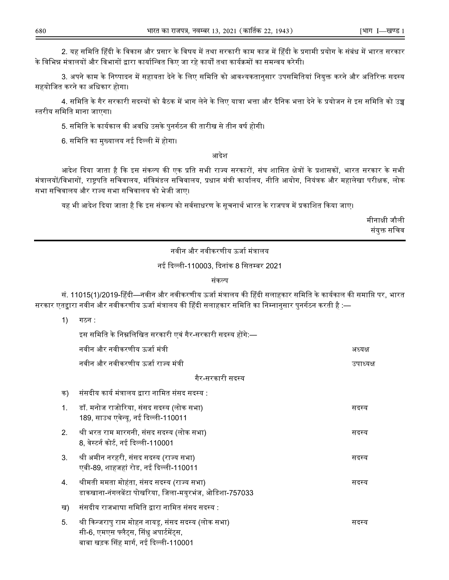2. यह समिति हिंदी के विकास और प्रसार के विषय में तथा सरकारी काम काज में हिंदी के प्रगामी प्रयोग के संबंध में भारत सरकार के विभिन्न मंत्रालयों और विभागों द्वारा कार्यान्वित किए जा रहे कार्यों तथा कार्यक्रमों का समन्वय करेगी।

3. अपने काम के निष्पादन में सहायता देने के लिए समिति को आवश्यकतानुसार उपसमितियां नियुक्त करने और अतिरिक्त सदस्य सहयोिजत करने का अिधकार होगा।

4. समिति के गैर सरकारी सदस्यों को बैठक में भाग लेने के लिए यात्रा भत्ता और दैनिक भत्ता देने के प्रयोजन से इस समिति को उच्च ᭭तरीय सिमित माना जाएगा।

5. समिति के कार्यकाल की अवधि उसके पुनर्गठन की तारीख से तीन वर्ष होगी।

6. समिति का मुख्यालय नई दिल्ली में होगा।

 $1$ )  $\overline{1}$ 

आदेश

आदेश दिया जाता है कि इस संकल्प की एक प्रति सभी राज्य सरकारों, संघ शासित क्षेत्रों के प्रशासकों, भारत सरकार के सभी मंत्रालयों/विभागों, राष्ट्रपति सचिवालय, मंत्रिमंडल सचिवालय, प्रधान मंत्री कार्यालय, नीति आयोग, नियंत्रक और महालेखा परीक्षक, लोक सभा सिचवालय और रा᭔य सभा सिचवालय को भेजी जाए।

यह भी आदेश दिया जाता है कि इस संकल्प को सर्वसाधरण के सूचनार्थ भारत के राजपत्र में प्रकाशित किया जाए।

मीनाᭃी जौली संयक्त सचिव

नवीन और नवीकरणीय ऊर्जा मंत्रालय

नई दिल्ली-110003, दिनांक 8 सितम्बर 2021

संकल्प

सं. 11015(1)/2019-हिंदी—नवीन और नवीकरणीय ऊर्जा मंत्रालय की हिंदी सलाहकार समिति के कार्यकाल की समाप्ति पर, भारत सरकार एतद्वारा नवीन और नवीकरणीय ऊर्जा मंत्रालय की हिंदी सलाहकार समिति का निम्नानुसार पुनर्गठन करती है :—

| 11             | 107.                                                                                                                                     |           |  |  |  |
|----------------|------------------------------------------------------------------------------------------------------------------------------------------|-----------|--|--|--|
|                | इस समिति के निम्नलिखित सरकारी एवं गैर-सरकारी सदस्य होंगे:—                                                                               |           |  |  |  |
|                | नवीन और नवीकरणीय ऊर्जा मंत्री                                                                                                            | अध्यक्ष   |  |  |  |
|                | नवीन और नवीकरणीय ऊर्जा राज्य मंत्री                                                                                                      | उपाध्यक्ष |  |  |  |
|                | गैर-सरकारी सदस्य                                                                                                                         |           |  |  |  |
| क)             | संसदीय कार्य मंत्रालय द्वारा नामित संसद सदस्य :                                                                                          |           |  |  |  |
| $\mathbf{1}$ . | डॉ. मनोज राजोरिया, संसद सदस्य (लोक सभा)<br>189, साउथ एवेन्यू, नई दिल्ली-110011                                                           | सदस्य     |  |  |  |
| 2 <sub>1</sub> | श्री भरत राम मारगनी, संसद सदस्य (लोक सभा)<br>8, वेस्टर्न कोर्ट, नई दिल्ली-110001                                                         | सदस्य     |  |  |  |
| 3.             | श्री अमीन नरहरी, संसद सदस्य (राज्य सभा)<br>एबी-89, शाहजहां रोड, नई दिल्ली-110011                                                         | सदस्य     |  |  |  |
| 4.             | श्रीमती ममता मोहंता, संसद सदस्य (राज्य सभा)<br>डाकखाना-नंगलबेंटा पोखरिया, जिला-मयुरभंज, ओडिशा-757033                                     | सदस्य     |  |  |  |
| ख)             | संसदीय राजभाषा समिति द्वारा नामित संसद सदस्य :                                                                                           |           |  |  |  |
| 5.             | श्री किन्जरापु राम मोहन नायडू, संसद सदस्य (लोक सभा)<br>सी-6, एमएस फ्लैट्स, सिंधु अपार्टमेंट्स,<br>बाबा खड़क सिंह मार्ग, नई दिल्ली-110001 | सदस्य     |  |  |  |